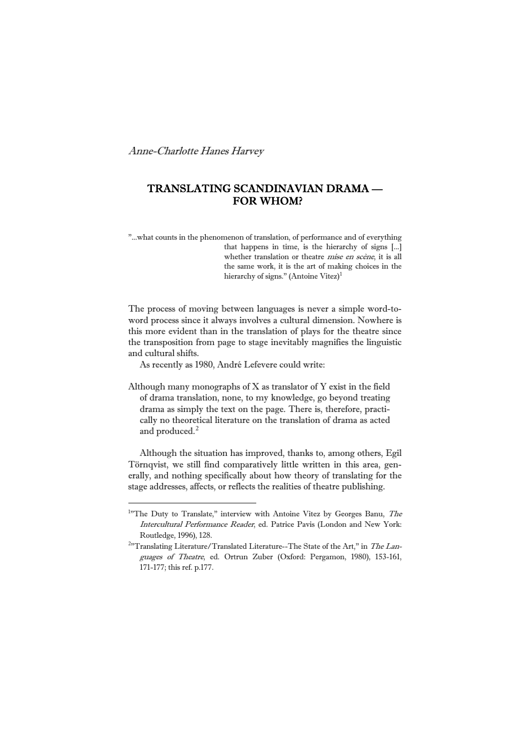# TRANSLATING SCANDINAVIAN DRAMA — FOR WHOM?

"...what counts in the phenomenon of translation, of performance and of everything that happens in time, is the hierarchy of signs [...] whether translation or theatre mise en scène, it is all the same work, it is the art of making choices in the hierarchy of signs." (Antoine Vitez)<sup>[1](#page-0-0)</sup>

The process of moving between languages is never a simple word-toword process since it always involves a cultural dimension. Nowhere is this more evident than in the translation of plays for the theatre since the transposition from page to stage inevitably magnifies the linguistic and cultural shifts.

As recently as 1980, André Lefevere could write:

1

Although many monographs of X as translator of Y exist in the field of drama translation, none, to my knowledge, go beyond treating drama as simply the text on the page. There is, therefore, practically no theoretical literature on the translation of drama as acted and produced.<sup>[2](#page-0-1)</sup>

 Although the situation has improved, thanks to, among others, Egil Törnqvist, we still find comparatively little written in this area, generally, and nothing specifically about how theory of translating for the stage addresses, affects, or reflects the realities of theatre publishing.

<span id="page-0-0"></span><sup>&</sup>lt;sup>1</sup>"The Duty to Translate," interview with Antoine Vitez by Georges Banu, The Intercultural Performance Reader, ed. Patrice Pavis (London and New York: Routledge, 1996), 128. 2

<span id="page-0-1"></span><sup>&</sup>lt;sup>2</sup>"Translating Literature/Translated Literature--The State of the Art," in *The Lan*guages of Theatre, ed. Ortrun Zuber (Oxford: Pergamon, 1980), 153-161, 171-177; this ref. p.177.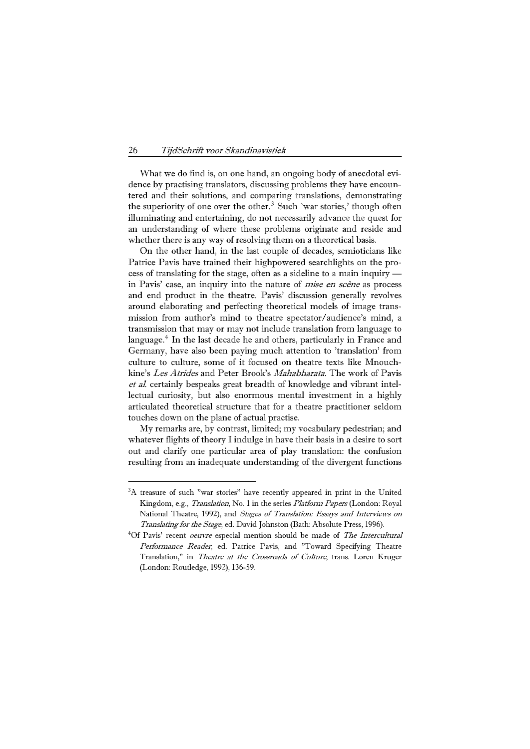What we do find is, on one hand, an ongoing body of anecdotal evidence by practising translators, discussing problems they have encountered and their solutions, and comparing translations, demonstrating the superiority of one over the other.<sup>[3](#page-1-0)</sup> Such `war stories,' though often illuminating and entertaining, do not necessarily advance the quest for an understanding of where these problems originate and reside and whether there is any way of resolving them on a theoretical basis.

 On the other hand, in the last couple of decades, semioticians like Patrice Pavis have trained their highpowered searchlights on the process of translating for the stage, often as a sideline to a main inquiry in Pavis' case, an inquiry into the nature of mise en scène as process and end product in the theatre. Pavis' discussion generally revolves around elaborating and perfecting theoretical models of image transmission from author's mind to theatre spectator/audience's mind, a transmission that may or may not include translation from language to language.<sup>[4](#page-1-1)</sup> In the last decade he and others, particularly in France and Germany, have also been paying much attention to 'translation' from culture to culture, some of it focused on theatre texts like Mnouchkine's Les Atrides and Peter Brook's Mahabharata. The work of Pavis et al. certainly bespeaks great breadth of knowledge and vibrant intellectual curiosity, but also enormous mental investment in a highly articulated theoretical structure that for a theatre practitioner seldom touches down on the plane of actual practise.

 My remarks are, by contrast, limited; my vocabulary pedestrian; and whatever flights of theory I indulge in have their basis in a desire to sort out and clarify one particular area of play translation: the confusion resulting from an inadequate understanding of the divergent functions

<span id="page-1-0"></span><sup>&</sup>lt;sup>3</sup>A treasure of such "war stories" have recently appeared in print in the United Kingdom, e.g., Translation, No. 1 in the series Platform Papers (London: Royal National Theatre, 1992), and Stages of Translation: Essays and Interviews on Translating for the Stage, ed. David Johnston (Bath: Absolute Press, 1996).

<span id="page-1-1"></span><sup>&</sup>lt;sup>4</sup>Of Pavis' recent *oeuvre* especial mention should be made of *The Intercultural* Performance Reader, ed. Patrice Pavis, and "Toward Specifying Theatre Translation," in Theatre at the Crossroads of Culture, trans. Loren Kruger (London: Routledge, 1992), 136-59.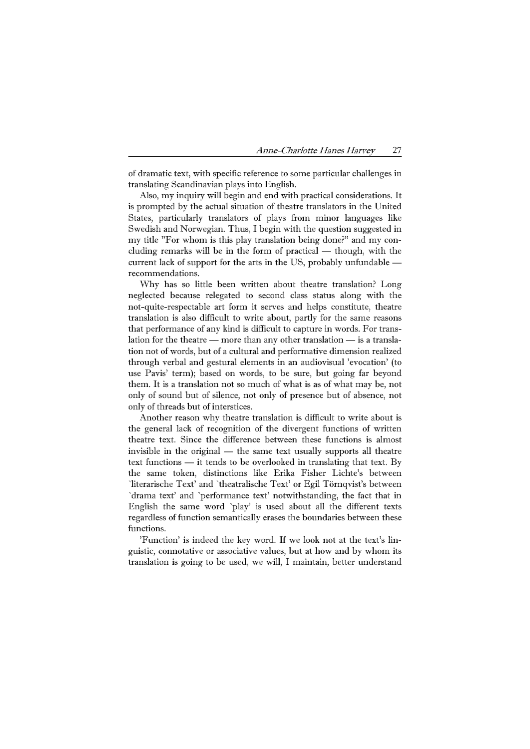of dramatic text, with specific reference to some particular challenges in translating Scandinavian plays into English.

 Also, my inquiry will begin and end with practical considerations. It is prompted by the actual situation of theatre translators in the United States, particularly translators of plays from minor languages like Swedish and Norwegian. Thus, I begin with the question suggested in my title "For whom is this play translation being done?" and my concluding remarks will be in the form of practical — though, with the current lack of support for the arts in the US, probably unfundable recommendations.

 Why has so little been written about theatre translation? Long neglected because relegated to second class status along with the not-quite-respectable art form it serves and helps constitute, theatre translation is also difficult to write about, partly for the same reasons that performance of any kind is difficult to capture in words. For translation for the theatre — more than any other translation — is a translation not of words, but of a cultural and performative dimension realized through verbal and gestural elements in an audiovisual 'evocation' (to use Pavis' term); based on words, to be sure, but going far beyond them. It is a translation not so much of what is as of what may be, not only of sound but of silence, not only of presence but of absence, not only of threads but of interstices.

 Another reason why theatre translation is difficult to write about is the general lack of recognition of the divergent functions of written theatre text. Since the difference between these functions is almost invisible in the original — the same text usually supports all theatre text functions — it tends to be overlooked in translating that text. By the same token, distinctions like Erika Fisher Lichte's between `literarische Text' and `theatralische Text' or Egil Törnqvist's between `drama text' and `performance text' notwithstanding, the fact that in English the same word `play' is used about all the different texts regardless of function semantically erases the boundaries between these functions.

 'Function' is indeed the key word. If we look not at the text's linguistic, connotative or associative values, but at how and by whom its translation is going to be used, we will, I maintain, better understand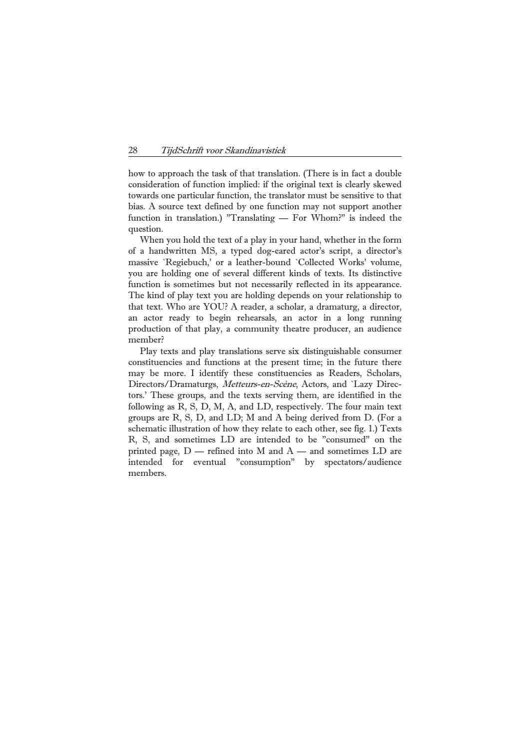how to approach the task of that translation. (There is in fact a double consideration of function implied: if the original text is clearly skewed towards one particular function, the translator must be sensitive to that bias. A source text defined by one function may not support another function in translation.) "Translating — For Whom?" is indeed the question.

 When you hold the text of a play in your hand, whether in the form of a handwritten MS, a typed dog-eared actor's script, a director's massive `Regiebuch,' or a leather-bound `Collected Works' volume, you are holding one of several different kinds of texts. Its distinctive function is sometimes but not necessarily reflected in its appearance. The kind of play text you are holding depends on your relationship to that text. Who are YOU? A reader, a scholar, a dramaturg, a director, an actor ready to begin rehearsals, an actor in a long running production of that play, a community theatre producer, an audience member?

 Play texts and play translations serve six distinguishable consumer constituencies and functions at the present time; in the future there may be more. I identify these constituencies as Readers, Scholars, Directors/Dramaturgs, Metteurs-en-Scène, Actors, and `Lazy Directors.' These groups, and the texts serving them, are identified in the following as R, S, D, M, A, and LD, respectively. The four main text groups are R, S, D, and LD; M and A being derived from D. (For a schematic illustration of how they relate to each other, see fig. 1.) Texts R, S, and sometimes LD are intended to be "consumed" on the printed page,  $D$  — refined into M and  $A$  — and sometimes  $LD$  are intended for eventual "consumption" by spectators/audience members.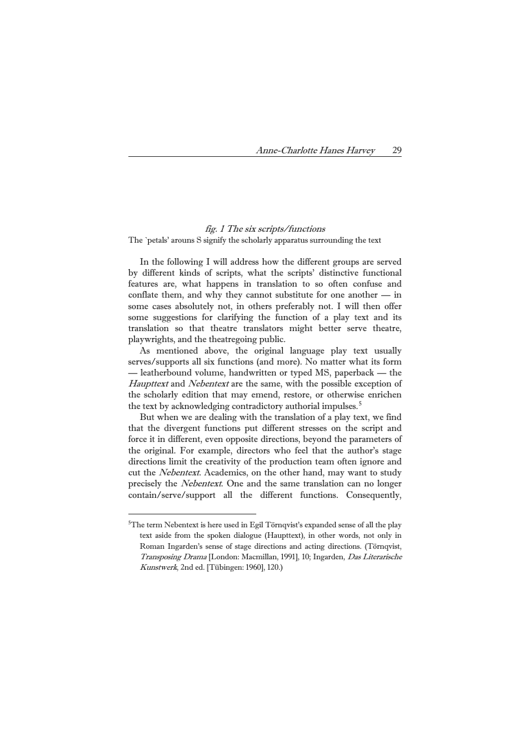# fig. 1 The six scripts/functions The `petals' arouns S signify the scholarly apparatus surrounding the text

 In the following I will address how the different groups are served by different kinds of scripts, what the scripts' distinctive functional features are, what happens in translation to so often confuse and conflate them, and why they cannot substitute for one another — in some cases absolutely not, in others preferably not. I will then offer some suggestions for clarifying the function of a play text and its translation so that theatre translators might better serve theatre, playwrights, and the theatregoing public.

 As mentioned above, the original language play text usually serves/supports all six functions (and more). No matter what its form — leatherbound volume, handwritten or typed MS, paperback — the Haupttext and Nebentext are the same, with the possible exception of the scholarly edition that may emend, restore, or otherwise enrichen the text by acknowledging contradictory authorial impulses.<sup>[5](#page-4-0)</sup>

 But when we are dealing with the translation of a play text, we find that the divergent functions put different stresses on the script and force it in different, even opposite directions, beyond the parameters of the original. For example, directors who feel that the author's stage directions limit the creativity of the production team often ignore and cut the Nebentext. Academics, on the other hand, may want to study precisely the Nebentext. One and the same translation can no longer contain/serve/support all the different functions. Consequently,

<span id="page-4-0"></span><sup>&</sup>lt;sup>5</sup>The term Nebentext is here used in Egil Törnqvist's expanded sense of all the play text aside from the spoken dialogue (Haupttext), in other words, not only in Roman Ingarden's sense of stage directions and acting directions. (Törnqvist, Transposing Drama [London: Macmillan, 1991], 10; Ingarden, Das Literarische Kunstwerk, 2nd ed. [Tübingen: 1960], 120.)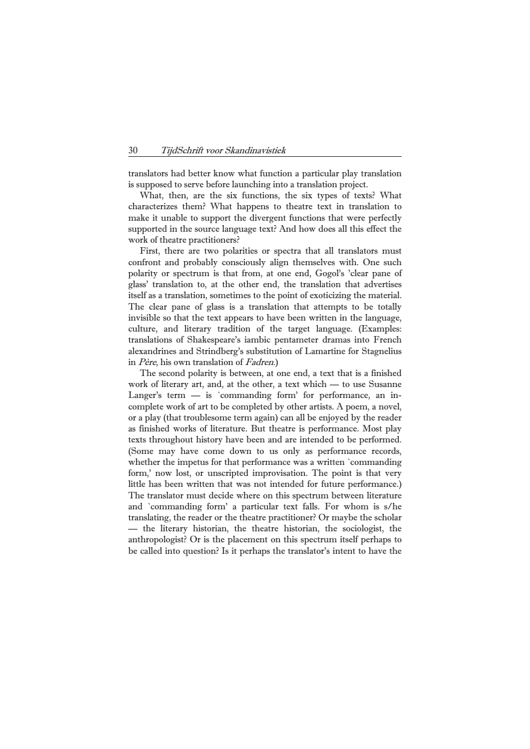translators had better know what function a particular play translation is supposed to serve before launching into a translation project.

 What, then, are the six functions, the six types of texts? What characterizes them? What happens to theatre text in translation to make it unable to support the divergent functions that were perfectly supported in the source language text? And how does all this effect the work of theatre practitioners?

 First, there are two polarities or spectra that all translators must confront and probably consciously align themselves with. One such polarity or spectrum is that from, at one end, Gogol's 'clear pane of glass' translation to, at the other end, the translation that advertises itself as a translation, sometimes to the point of exoticizing the material. The clear pane of glass is a translation that attempts to be totally invisible so that the text appears to have been written in the language, culture, and literary tradition of the target language. (Examples: translations of Shakespeare's iambic pentameter dramas into French alexandrines and Strindberg's substitution of Lamartine for Stagnelius in Père, his own translation of Fadren.)

 The second polarity is between, at one end, a text that is a finished work of literary art, and, at the other, a text which — to use Susanne Langer's term — is `commanding form' for performance, an incomplete work of art to be completed by other artists. A poem, a novel, or a play (that troublesome term again) can all be enjoyed by the reader as finished works of literature. But theatre is performance. Most play texts throughout history have been and are intended to be performed. (Some may have come down to us only as performance records, whether the impetus for that performance was a written `commanding form,' now lost, or unscripted improvisation. The point is that very little has been written that was not intended for future performance.) The translator must decide where on this spectrum between literature and `commanding form' a particular text falls. For whom is s/he translating, the reader or the theatre practitioner? Or maybe the scholar — the literary historian, the theatre historian, the sociologist, the anthropologist? Or is the placement on this spectrum itself perhaps to be called into question? Is it perhaps the translator's intent to have the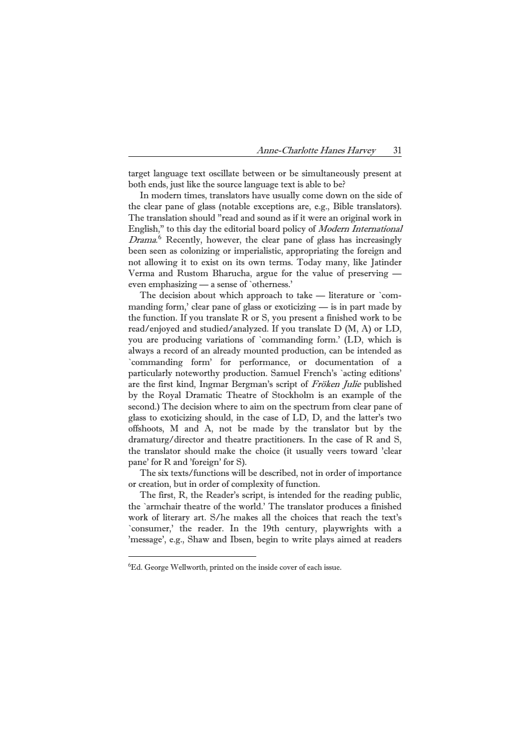target language text oscillate between or be simultaneously present at both ends, just like the source language text is able to be?

 In modern times, translators have usually come down on the side of the clear pane of glass (notable exceptions are, e.g., Bible translators). The translation should "read and sound as if it were an original work in English," to this day the editorial board policy of Modern International Drama.<sup>[6](#page-6-0)</sup> Recently, however, the clear pane of glass has increasingly been seen as colonizing or imperialistic, appropriating the foreign and not allowing it to exist on its own terms. Today many, like Jatinder Verma and Rustom Bharucha, argue for the value of preserving even emphasizing — a sense of `otherness.'

 The decision about which approach to take — literature or `commanding form,' clear pane of glass or exoticizing — is in part made by the function. If you translate R or S, you present a finished work to be read/enjoyed and studied/analyzed. If you translate D (M, A) or LD, you are producing variations of `commanding form.' (LD, which is always a record of an already mounted production, can be intended as `commanding form' for performance, or documentation of a particularly noteworthy production. Samuel French's `acting editions' are the first kind, Ingmar Bergman's script of Fröken Julie published by the Royal Dramatic Theatre of Stockholm is an example of the second.) The decision where to aim on the spectrum from clear pane of glass to exoticizing should, in the case of LD, D, and the latter's two offshoots, M and A, not be made by the translator but by the dramaturg/director and theatre practitioners. In the case of R and S, the translator should make the choice (it usually veers toward 'clear pane' for R and 'foreign' for S).

 The six texts/functions will be described, not in order of importance or creation, but in order of complexity of function.

 The first, R, the Reader's script, is intended for the reading public, the `armchair theatre of the world.' The translator produces a finished work of literary art. S/he makes all the choices that reach the text's `consumer,' the reader. In the 19th century, playwrights with a 'message', e.g., Shaw and Ibsen, begin to write plays aimed at readers

<span id="page-6-0"></span><sup>6</sup> Ed. George Wellworth, printed on the inside cover of each issue.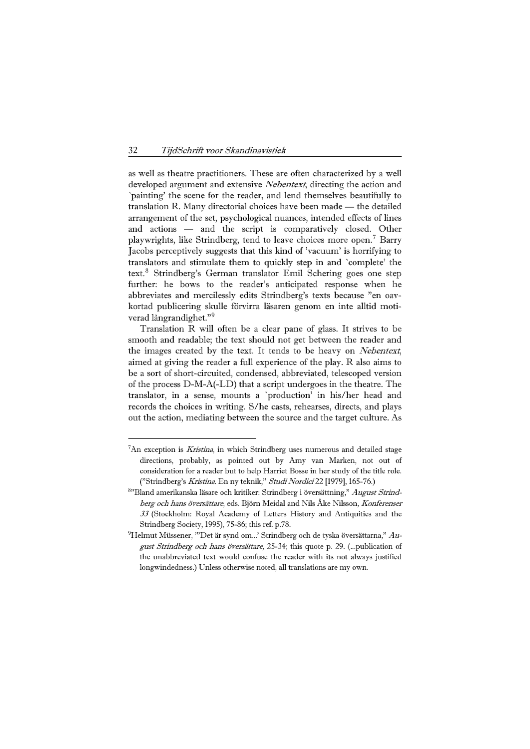<u>.</u>

as well as theatre practitioners. These are often characterized by a well developed argument and extensive *Nebentext*, directing the action and `painting' the scene for the reader, and lend themselves beautifully to translation R. Many directorial choices have been made — the detailed arrangement of the set, psychological nuances, intended effects of lines and actions — and the script is comparatively closed. Other playwrights, like Strindberg, tend to leave choices more open.[7](#page-7-0) Barry Jacobs perceptively suggests that this kind of 'vacuum' is horrifying to translators and stimulate them to quickly step in and `complete' the text.[8](#page-7-1) Strindberg's German translator Emil Schering goes one step further: he bows to the reader's anticipated response when he abbreviates and mercilessly edits Strindberg's texts because "en oavkortad publicering skulle förvirra läsaren genom en inte alltid motiverad långrandighet."[9](#page-7-2)

 Translation R will often be a clear pane of glass. It strives to be smooth and readable; the text should not get between the reader and the images created by the text. It tends to be heavy on *Nebentext*, aimed at giving the reader a full experience of the play. R also aims to be a sort of short-circuited, condensed, abbreviated, telescoped version of the process D-M-A(-LD) that a script undergoes in the theatre. The translator, in a sense, mounts a `production' in his/her head and records the choices in writing. S/he casts, rehearses, directs, and plays out the action, mediating between the source and the target culture. As

<span id="page-7-0"></span><sup>&</sup>lt;sup>7</sup>An exception is *Kristina*, in which Strindberg uses numerous and detailed stage directions, probably, as pointed out by Amy van Marken, not out of consideration for a reader but to help Harriet Bosse in her study of the title role. ("Strindberg's Kristina. En ny teknik," Studi Nordici 22 [1979], 165-76.) 8

<span id="page-7-1"></span><sup>&</sup>lt;sup>8</sup>"Bland amerikanska läsare och kritiker: Strindberg i översättning," August Strindberg och hans översättare, eds. Björn Meidal and Nils Åke Nilsson, Konferenser 33 (Stockholm: Royal Academy of Letters History and Antiquities and the Strindberg Society, 1995), 75-86; this ref. p.78.

<span id="page-7-2"></span><sup>&</sup>lt;sup>9</sup>Helmut Müssener, "'Det är synd om...' Strindberg och de tyska översättarna," August Strindberg och hans översättare, 25-34; this quote p. 29. (...publication of the unabbreviated text would confuse the reader with its not always justified longwindedness.) Unless otherwise noted, all translations are my own.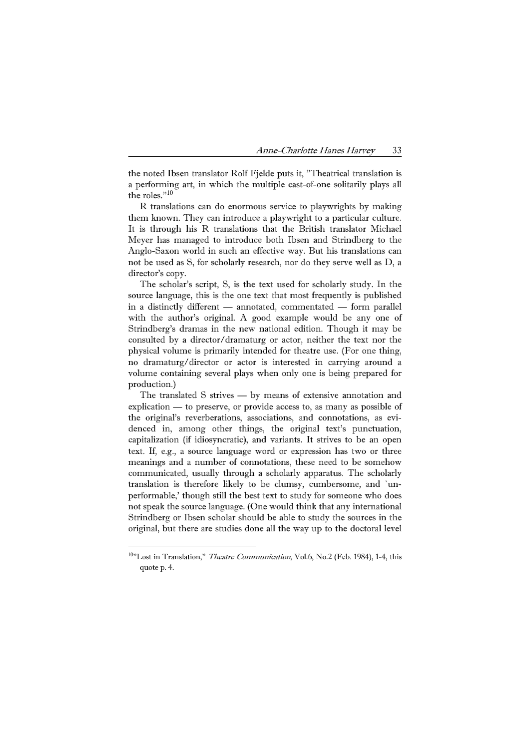the noted Ibsen translator Rolf Fjelde puts it, "Theatrical translation is a performing art, in which the multiple cast-of-one solitarily plays all the roles."<sup>[10](#page-8-0)</sup>

 R translations can do enormous service to playwrights by making them known. They can introduce a playwright to a particular culture. It is through his R translations that the British translator Michael Meyer has managed to introduce both Ibsen and Strindberg to the Anglo-Saxon world in such an effective way. But his translations can not be used as S, for scholarly research, nor do they serve well as D, a director's copy.

 The scholar's script, S, is the text used for scholarly study. In the source language, this is the one text that most frequently is published in a distinctly different — annotated, commentated — form parallel with the author's original. A good example would be any one of Strindberg's dramas in the new national edition. Though it may be consulted by a director/dramaturg or actor, neither the text nor the physical volume is primarily intended for theatre use. (For one thing, no dramaturg/director or actor is interested in carrying around a volume containing several plays when only one is being prepared for production.)

 The translated S strives — by means of extensive annotation and explication — to preserve, or provide access to, as many as possible of the original's reverberations, associations, and connotations, as evidenced in, among other things, the original text's punctuation, capitalization (if idiosyncratic), and variants. It strives to be an open text. If, e.g., a source language word or expression has two or three meanings and a number of connotations, these need to be somehow communicated, usually through a scholarly apparatus. The scholarly translation is therefore likely to be clumsy, cumbersome, and `unperformable,' though still the best text to study for someone who does not speak the source language. (One would think that any international Strindberg or Ibsen scholar should be able to study the sources in the original, but there are studies done all the way up to the doctoral level

<span id="page-8-0"></span> $10$ <sup>n</sup>Lost in Translation," *Theatre Communication*, Vol.6, No.2 (Feb. 1984), 1-4, this quote p. 4.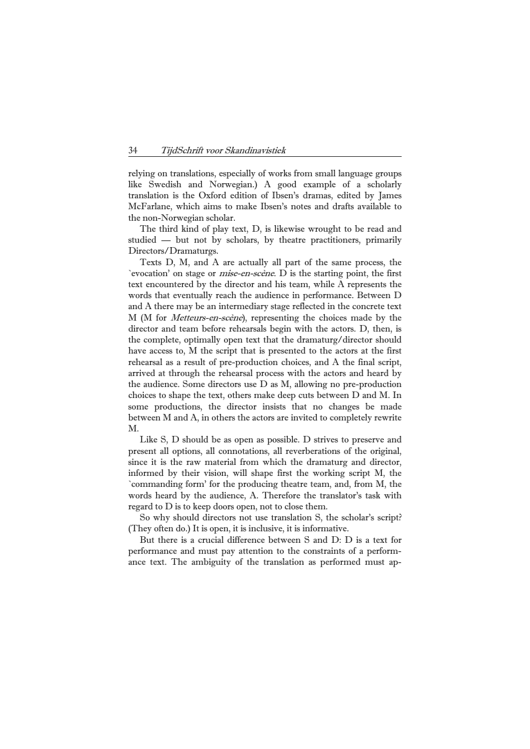relying on translations, especially of works from small language groups like Swedish and Norwegian.) A good example of a scholarly translation is the Oxford edition of Ibsen's dramas, edited by James McFarlane, which aims to make Ibsen's notes and drafts available to the non-Norwegian scholar.

 The third kind of play text, D, is likewise wrought to be read and studied — but not by scholars, by theatre practitioners, primarily Directors/Dramaturgs.

 Texts D, M, and A are actually all part of the same process, the `evocation' on stage or mise-en-scène. D is the starting point, the first text encountered by the director and his team, while A represents the words that eventually reach the audience in performance. Between D and A there may be an intermediary stage reflected in the concrete text M (M for Metteurs-en-scène), representing the choices made by the director and team before rehearsals begin with the actors. D, then, is the complete, optimally open text that the dramaturg/director should have access to, M the script that is presented to the actors at the first rehearsal as a result of pre-production choices, and A the final script, arrived at through the rehearsal process with the actors and heard by the audience. Some directors use D as M, allowing no pre-production choices to shape the text, others make deep cuts between D and M. In some productions, the director insists that no changes be made between M and A, in others the actors are invited to completely rewrite M.

 Like S, D should be as open as possible. D strives to preserve and present all options, all connotations, all reverberations of the original, since it is the raw material from which the dramaturg and director, informed by their vision, will shape first the working script M, the `commanding form' for the producing theatre team, and, from M, the words heard by the audience, A. Therefore the translator's task with regard to D is to keep doors open, not to close them.

 So why should directors not use translation S, the scholar's script? (They often do.) It is open, it is inclusive, it is informative.

 But there is a crucial difference between S and D: D is a text for performance and must pay attention to the constraints of a performance text. The ambiguity of the translation as performed must ap-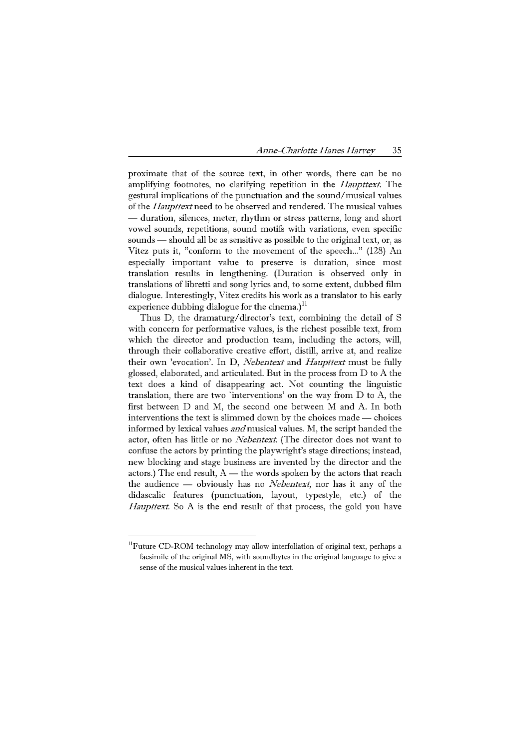proximate that of the source text, in other words, there can be no amplifying footnotes, no clarifying repetition in the *Haupttext*. The gestural implications of the punctuation and the sound/musical values of the *Haupttext* need to be observed and rendered. The musical values — duration, silences, meter, rhythm or stress patterns, long and short vowel sounds, repetitions, sound motifs with variations, even specific sounds — should all be as sensitive as possible to the original text, or, as Vitez puts it, "conform to the movement of the speech..." (128) An especially important value to preserve is duration, since most translation results in lengthening. (Duration is observed only in translations of libretti and song lyrics and, to some extent, dubbed film dialogue. Interestingly, Vitez credits his work as a translator to his early experience dubbing dialogue for the cinema.)<sup>[11](#page-10-0)</sup>

 Thus D, the dramaturg/director's text, combining the detail of S with concern for performative values, is the richest possible text, from which the director and production team, including the actors, will, through their collaborative creative effort, distill, arrive at, and realize their own 'evocation'. In D, Nebentext and Haupttext must be fully glossed, elaborated, and articulated. But in the process from D to A the text does a kind of disappearing act. Not counting the linguistic translation, there are two `interventions' on the way from D to A, the first between D and M, the second one between M and A. In both interventions the text is slimmed down by the choices made — choices informed by lexical values and musical values. M, the script handed the actor, often has little or no Nebentext. (The director does not want to confuse the actors by printing the playwright's stage directions; instead, new blocking and stage business are invented by the director and the actors.) The end result,  $A$  — the words spoken by the actors that reach the audience — obviously has no Nebentext, nor has it any of the didascalic features (punctuation, layout, typestyle, etc.) of the Haupttext. So A is the end result of that process, the gold you have

<span id="page-10-0"></span><sup>&</sup>lt;sup>11</sup>Future CD-ROM technology may allow interfoliation of original text, perhaps a facsimile of the original MS, with soundbytes in the original language to give a sense of the musical values inherent in the text.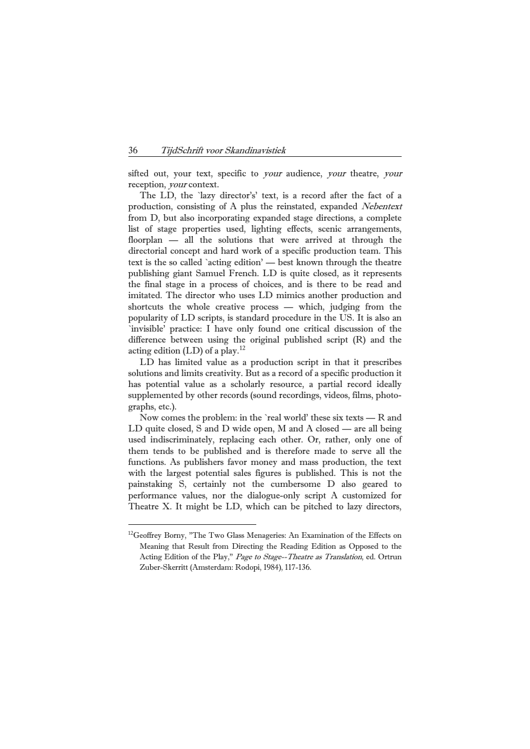sifted out, your text, specific to your audience, your theatre, your reception, your context.

 The LD, the `lazy director's' text, is a record after the fact of a production, consisting of A plus the reinstated, expanded Nebentext from D, but also incorporating expanded stage directions, a complete list of stage properties used, lighting effects, scenic arrangements, floorplan — all the solutions that were arrived at through the directorial concept and hard work of a specific production team. This text is the so called `acting edition' — best known through the theatre publishing giant Samuel French. LD is quite closed, as it represents the final stage in a process of choices, and is there to be read and imitated. The director who uses LD mimics another production and shortcuts the whole creative process — which, judging from the popularity of LD scripts, is standard procedure in the US. It is also an `invisible' practice: I have only found one critical discussion of the difference between using the original published script (R) and the acting edition (LD) of a play.<sup>[12](#page-11-0)</sup>

 LD has limited value as a production script in that it prescribes solutions and limits creativity. But as a record of a specific production it has potential value as a scholarly resource, a partial record ideally supplemented by other records (sound recordings, videos, films, photographs, etc.).

 Now comes the problem: in the `real world' these six texts — R and LD quite closed, S and D wide open, M and A closed — are all being used indiscriminately, replacing each other. Or, rather, only one of them tends to be published and is therefore made to serve all the functions. As publishers favor money and mass production, the text with the largest potential sales figures is published. This is not the painstaking S, certainly not the cumbersome D also geared to performance values, nor the dialogue-only script A customized for Theatre X. It might be LD, which can be pitched to lazy directors,

<span id="page-11-0"></span><sup>&</sup>lt;sup>12</sup>Geoffrey Borny, "The Two Glass Menageries: An Examination of the Effects on Meaning that Result from Directing the Reading Edition as Opposed to the Acting Edition of the Play," Page to Stage--Theatre as Translation, ed. Ortrun Zuber-Skerritt (Amsterdam: Rodopi, 1984), 117-136.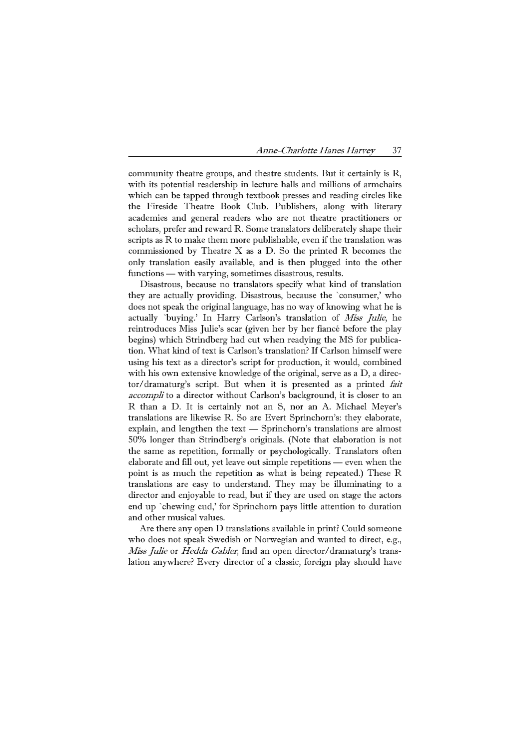community theatre groups, and theatre students. But it certainly is R, with its potential readership in lecture halls and millions of armchairs which can be tapped through textbook presses and reading circles like the Fireside Theatre Book Club. Publishers, along with literary academies and general readers who are not theatre practitioners or scholars, prefer and reward R. Some translators deliberately shape their scripts as R to make them more publishable, even if the translation was commissioned by Theatre X as a D. So the printed R becomes the only translation easily available, and is then plugged into the other functions — with varying, sometimes disastrous, results.

 Disastrous, because no translators specify what kind of translation they are actually providing. Disastrous, because the `consumer,' who does not speak the original language, has no way of knowing what he is actually `buying.' In Harry Carlson's translation of Miss Julie, he reintroduces Miss Julie's scar (given her by her fiancé before the play begins) which Strindberg had cut when readying the MS for publication. What kind of text is Carlson's translation? If Carlson himself were using his text as a director's script for production, it would, combined with his own extensive knowledge of the original, serve as a D, a director/dramaturg's script. But when it is presented as a printed fait accompli to a director without Carlson's background, it is closer to an R than a D. It is certainly not an S, nor an A. Michael Meyer's translations are likewise R. So are Evert Sprinchorn's: they elaborate, explain, and lengthen the text — Sprinchorn's translations are almost 50% longer than Strindberg's originals. (Note that elaboration is not the same as repetition, formally or psychologically. Translators often elaborate and fill out, yet leave out simple repetitions — even when the point is as much the repetition as what is being repeated.) These R translations are easy to understand. They may be illuminating to a director and enjoyable to read, but if they are used on stage the actors end up `chewing cud,' for Sprinchorn pays little attention to duration and other musical values.

 Are there any open D translations available in print? Could someone who does not speak Swedish or Norwegian and wanted to direct, e.g., Miss Julie or Hedda Gabler, find an open director/dramaturg's translation anywhere? Every director of a classic, foreign play should have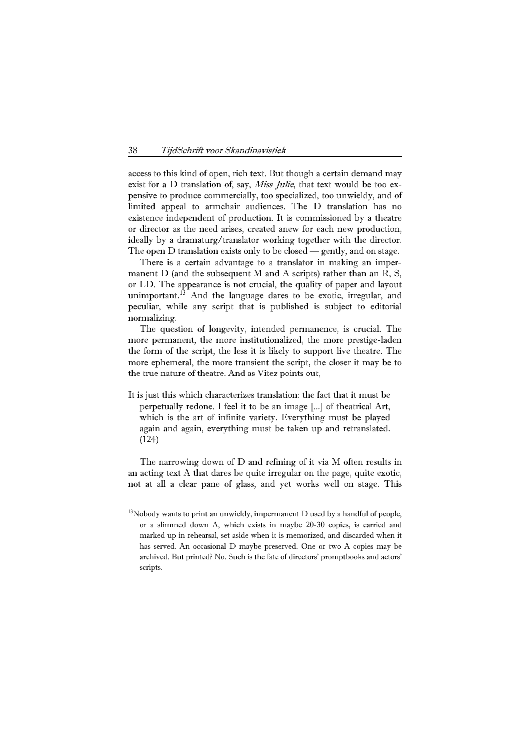access to this kind of open, rich text. But though a certain demand may exist for a D translation of, say, *Miss Julie*, that text would be too expensive to produce commercially, too specialized, too unwieldy, and of limited appeal to armchair audiences. The D translation has no existence independent of production. It is commissioned by a theatre or director as the need arises, created anew for each new production, ideally by a dramaturg/translator working together with the director. The open D translation exists only to be closed — gently, and on stage.

 There is a certain advantage to a translator in making an impermanent D (and the subsequent M and A scripts) rather than an R, S, or LD. The appearance is not crucial, the quality of paper and layout unimportant.<sup>[13](#page-13-0)</sup> And the language dares to be exotic, irregular, and peculiar, while any script that is published is subject to editorial normalizing.

 The question of longevity, intended permanence, is crucial. The more permanent, the more institutionalized, the more prestige-laden the form of the script, the less it is likely to support live theatre. The more ephemeral, the more transient the script, the closer it may be to the true nature of theatre. And as Vitez points out,

It is just this which characterizes translation: the fact that it must be perpetually redone. I feel it to be an image [...] of theatrical Art, which is the art of infinite variety. Everything must be played again and again, everything must be taken up and retranslated. (124)

 The narrowing down of D and refining of it via M often results in an acting text A that dares be quite irregular on the page, quite exotic, not at all a clear pane of glass, and yet works well on stage. This

<span id="page-13-0"></span> $13$ Nobody wants to print an unwieldy, impermanent D used by a handful of people, or a slimmed down A, which exists in maybe 20-30 copies, is carried and marked up in rehearsal, set aside when it is memorized, and discarded when it has served. An occasional D maybe preserved. One or two A copies may be archived. But printed? No. Such is the fate of directors' promptbooks and actors' scripts.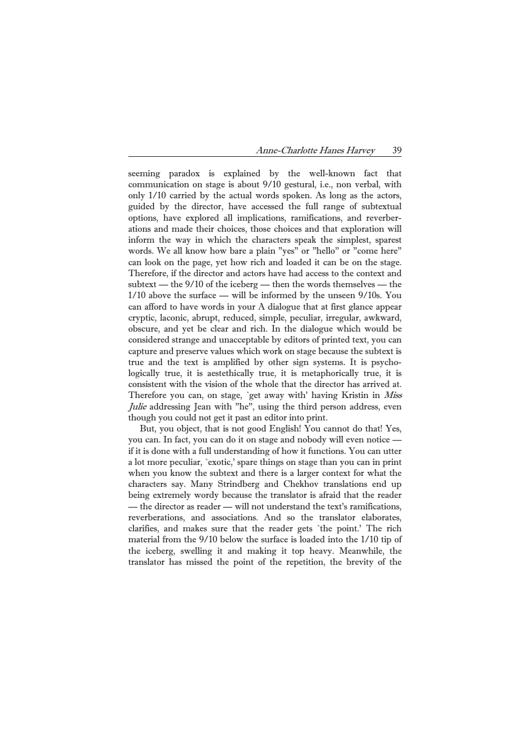seeming paradox is explained by the well-known fact that communication on stage is about 9/10 gestural, i.e., non verbal, with only 1/10 carried by the actual words spoken. As long as the actors, guided by the director, have accessed the full range of subtextual options, have explored all implications, ramifications, and reverberations and made their choices, those choices and that exploration will inform the way in which the characters speak the simplest, sparest words. We all know how bare a plain "yes" or "hello" or "come here" can look on the page, yet how rich and loaded it can be on the stage. Therefore, if the director and actors have had access to the context and subtext — the 9/10 of the iceberg — then the words themselves — the 1/10 above the surface — will be informed by the unseen 9/10s. You can afford to have words in your A dialogue that at first glance appear cryptic, laconic, abrupt, reduced, simple, peculiar, irregular, awkward, obscure, and yet be clear and rich. In the dialogue which would be considered strange and unacceptable by editors of printed text, you can capture and preserve values which work on stage because the subtext is true and the text is amplified by other sign systems. It is psychologically true, it is aestethically true, it is metaphorically true, it is consistent with the vision of the whole that the director has arrived at. Therefore you can, on stage, 'get away with' having Kristin in Miss *Julie* addressing Jean with "he", using the third person address, even though you could not get it past an editor into print.

 But, you object, that is not good English! You cannot do that! Yes, you can. In fact, you can do it on stage and nobody will even notice if it is done with a full understanding of how it functions. You can utter a lot more peculiar, `exotic,' spare things on stage than you can in print when you know the subtext and there is a larger context for what the characters say. Many Strindberg and Chekhov translations end up being extremely wordy because the translator is afraid that the reader — the director as reader — will not understand the text's ramifications, reverberations, and associations. And so the translator elaborates, clarifies, and makes sure that the reader gets `the point.' The rich material from the 9/10 below the surface is loaded into the 1/10 tip of the iceberg, swelling it and making it top heavy. Meanwhile, the translator has missed the point of the repetition, the brevity of the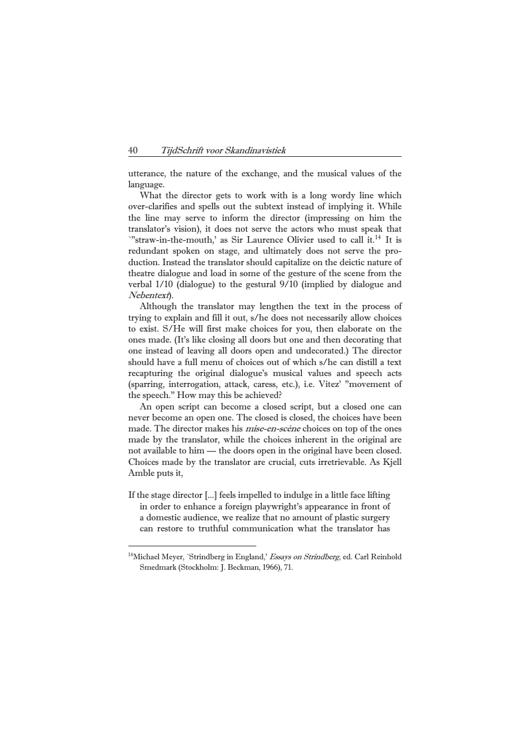utterance, the nature of the exchange, and the musical values of the language.

 What the director gets to work with is a long wordy line which over-clarifies and spells out the subtext instead of implying it. While the line may serve to inform the director (impressing on him the translator's vision), it does not serve the actors who must speak that "straw-in-the-mouth,' as Sir Laurence Olivier used to call it.<sup>[14](#page-15-0)</sup> It is redundant spoken on stage, and ultimately does not serve the production. Instead the translator should capitalize on the deictic nature of theatre dialogue and load in some of the gesture of the scene from the verbal 1/10 (dialogue) to the gestural 9/10 (implied by dialogue and Nebentext).

 Although the translator may lengthen the text in the process of trying to explain and fill it out, s/he does not necessarily allow choices to exist. S/He will first make choices for you, then elaborate on the ones made. (It's like closing all doors but one and then decorating that one instead of leaving all doors open and undecorated.) The director should have a full menu of choices out of which s/he can distill a text recapturing the original dialogue's musical values and speech acts (sparring, interrogation, attack, caress, etc.), i.e. Vitez' "movement of the speech." How may this be achieved?

 An open script can become a closed script, but a closed one can never become an open one. The closed is closed, the choices have been made. The director makes his mise-en-scène choices on top of the ones made by the translator, while the choices inherent in the original are not available to him — the doors open in the original have been closed. Choices made by the translator are crucial, cuts irretrievable. As Kjell Amble puts it,

If the stage director [...] feels impelled to indulge in a little face lifting in order to enhance a foreign playwright's appearance in front of a domestic audience, we realize that no amount of plastic surgery can restore to truthful communication what the translator has

<span id="page-15-0"></span><sup>&</sup>lt;sup>14</sup>Michael Meyer, `Strindberg in England,' *Essays on Strindberg*, ed. Carl Reinhold Smedmark (Stockholm: J. Beckman, 1966), 71.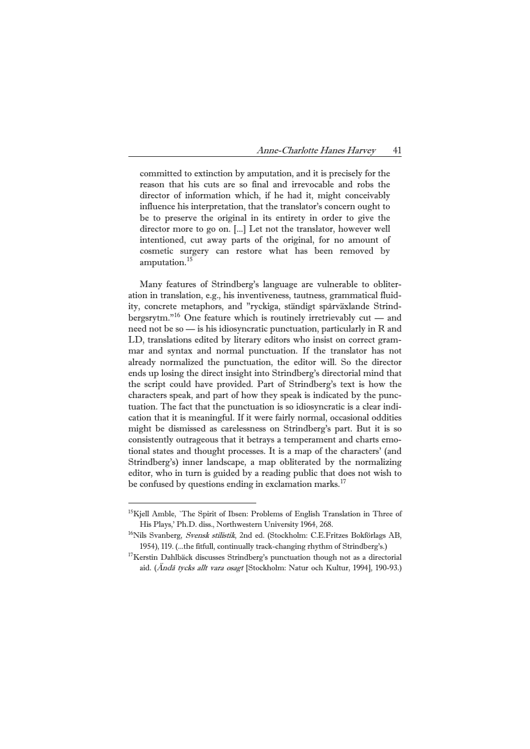committed to extinction by amputation, and it is precisely for the reason that his cuts are so final and irrevocable and robs the director of information which, if he had it, might conceivably influence his interpretation, that the translator's concern ought to be to preserve the original in its entirety in order to give the director more to go on. [...] Let not the translator, however well intentioned, cut away parts of the original, for no amount of cosmetic surgery can restore what has been removed by amputation.<sup>[15](#page-16-0)</sup>

 Many features of Strindberg's language are vulnerable to obliteration in translation, e.g., his inventiveness, tautness, grammatical fluidity, concrete metaphors, and "ryckiga, ständigt spårväxlande Strindbergsrytm."[16](#page-16-1) One feature which is routinely irretrievably cut — and need not be so — is his idiosyncratic punctuation, particularly in R and LD, translations edited by literary editors who insist on correct grammar and syntax and normal punctuation. If the translator has not already normalized the punctuation, the editor will. So the director ends up losing the direct insight into Strindberg's directorial mind that the script could have provided. Part of Strindberg's text is how the characters speak, and part of how they speak is indicated by the punctuation. The fact that the punctuation is so idiosyncratic is a clear indication that it is meaningful. If it were fairly normal, occasional oddities might be dismissed as carelessness on Strindberg's part. But it is so consistently outrageous that it betrays a temperament and charts emotional states and thought processes. It is a map of the characters' (and Strindberg's) inner landscape, a map obliterated by the normalizing editor, who in turn is guided by a reading public that does not wish to be confused by questions ending in exclamation marks. $^{17}$  $^{17}$  $^{17}$ 

<span id="page-16-0"></span><sup>&</sup>lt;sup>15</sup>Kiell Amble, 'The Spirit of Ibsen: Problems of English Translation in Three of His Plays,' Ph.D. diss., Northwestern University 1964, 268.<br><sup>16</sup>Nils Svanberg, *Svensk stilistik*, 2nd ed. (Stockholm: C.E.Fritzes Bokförlags AB,

<span id="page-16-2"></span><span id="page-16-1"></span><sup>1954), 119. (...</sup>the fitfull, continually track-changing rhythm of Strindberg's.)  $17$ Kerstin Dahlbäck discusses Strindberg's punctuation though not as a directorial aid. (Ändå tycks allt vara osagt [Stockholm: Natur och Kultur, 1994], 190-93.)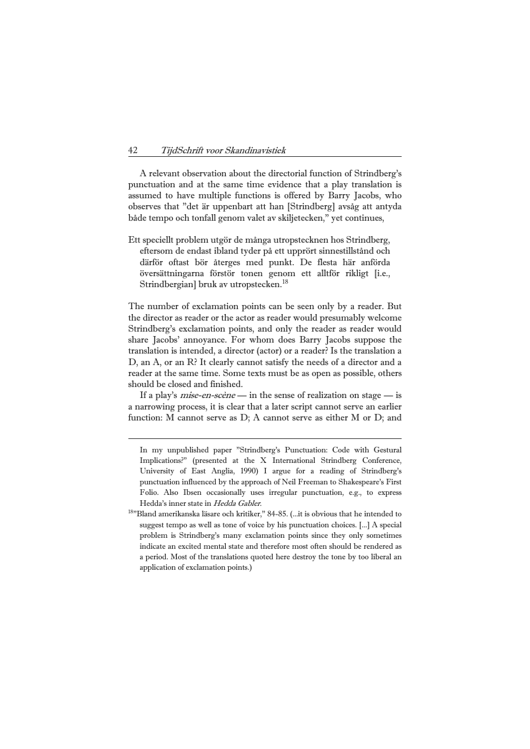1

 A relevant observation about the directorial function of Strindberg's punctuation and at the same time evidence that a play translation is assumed to have multiple functions is offered by Barry Jacobs, who observes that "det är uppenbart att han [Strindberg] avsåg att antyda både tempo och tonfall genom valet av skiljetecken," yet continues,

Ett speciellt problem utgör de många utropstecknen hos Strindberg, eftersom de endast ibland tyder på ett upprört sinnestillstånd och därför oftast bör återges med punkt. De flesta här anförda översättningarna förstör tonen genom ett alltför rikligt [i.e., Strindbergian] bruk av utropstecken.<sup>[18](#page-17-0)</sup>

The number of exclamation points can be seen only by a reader. But the director as reader or the actor as reader would presumably welcome Strindberg's exclamation points, and only the reader as reader would share Jacobs' annoyance. For whom does Barry Jacobs suppose the translation is intended, a director (actor) or a reader? Is the translation a D, an A, or an R? It clearly cannot satisfy the needs of a director and a reader at the same time. Some texts must be as open as possible, others should be closed and finished.

If a play's *mise-en-scène* — in the sense of realization on stage — is a narrowing process, it is clear that a later script cannot serve an earlier function: M cannot serve as D; A cannot serve as either M or D; and

In my unpublished paper "Strindberg's Punctuation: Code with Gestural Implications?" (presented at the X International Strindberg Conference, University of East Anglia, 1990) I argue for a reading of Strindberg's punctuation influenced by the approach of Neil Freeman to Shakespeare's First Folio. Also Ibsen occasionally uses irregular punctuation, e.g., to express Hedda's inner state in *Hedda Gabler*.<br><sup>18</sup>"Bland amerikanska läsare och kritiker," 84-85. (...it is obvious that he intended to

<span id="page-17-0"></span>suggest tempo as well as tone of voice by his punctuation choices. [...] A special problem is Strindberg's many exclamation points since they only sometimes indicate an excited mental state and therefore most often should be rendered as a period. Most of the translations quoted here destroy the tone by too liberal an application of exclamation points.)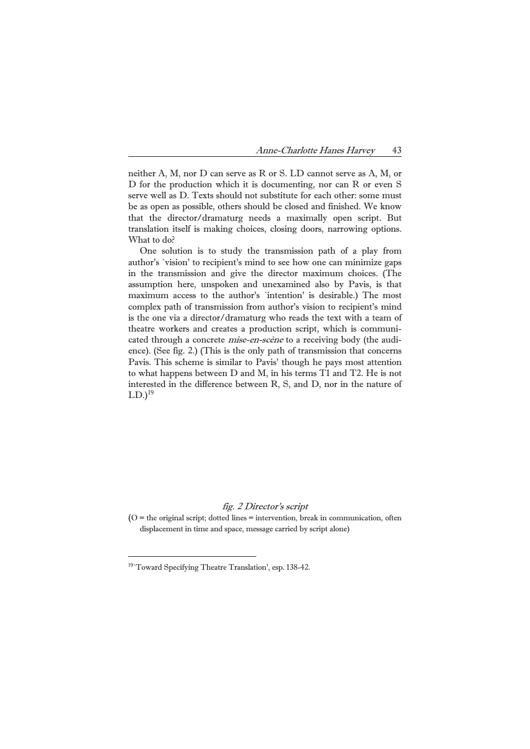neither A, M, nor D can serve as R or S. LD cannot serve as A, M, or D for the production which it is documenting, nor can R or even S serve well as D. Texts should not substitute for each other: some must be as open as possible, others should be closed and finished. We know that the director/dramaturg needs a maximally open script. But translation itself is making choices, closing doors, narrowing options. What to do?

 One solution is to study the transmission path of a play from author's `vision' to recipient's mind to see how one can minimize gaps in the transmission and give the director maximum choices. (The assumption here, unspoken and unexamined also by Pavis, is that maximum access to the author's `intention' is desirable.) The most complex path of transmission from author's vision to recipient's mind is the one via a director/dramaturg who reads the text with a team of theatre workers and creates a production script, which is communicated through a concrete *mise-en-scène* to a receiving body (the audience). (See fig. 2.) (This is the only path of transmission that concerns Pavis. This scheme is similar to Pavis' though he pays most attention to what happens between D and M, in his terms T1 and T2. He is not interested in the difference between R, S, and D, nor in the nature of  $LD<sub>19</sub>$  $LD<sub>19</sub>$  $LD<sub>19</sub>$ 

fig. 2 Director's script

 $(0)$  = the original script; dotted lines = intervention, break in communication, often displacement in time and space, message carried by script alone)

<span id="page-18-0"></span><sup>&</sup>lt;sup>19</sup>'Toward Specifying Theatre Translation', esp. 138-42.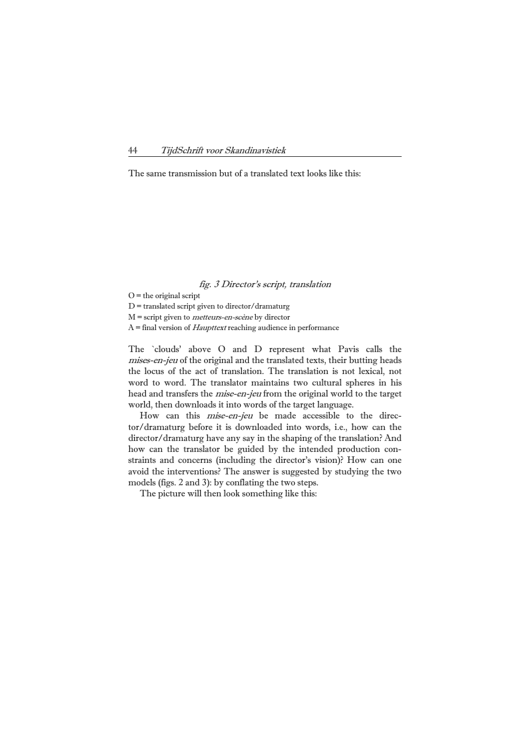The same transmission but of a translated text looks like this:

#### fig. 3 Director's script, translation

 $O =$  the original script

 $D$  = translated script given to director/dramaturg

M = script given to metteurs-en-scène by director

 $A =$  final version of *Haupttext* reaching audience in performance

The `clouds' above O and D represent what Pavis calls the mises-en-jeu of the original and the translated texts, their butting heads the locus of the act of translation. The translation is not lexical, not word to word. The translator maintains two cultural spheres in his head and transfers the mise-en-jeu from the original world to the target world, then downloads it into words of the target language.

How can this *mise-en-jeu* be made accessible to the director/dramaturg before it is downloaded into words, i.e., how can the director/dramaturg have any say in the shaping of the translation? And how can the translator be guided by the intended production constraints and concerns (including the director's vision)? How can one avoid the interventions? The answer is suggested by studying the two models (figs. 2 and 3): by conflating the two steps.

The picture will then look something like this: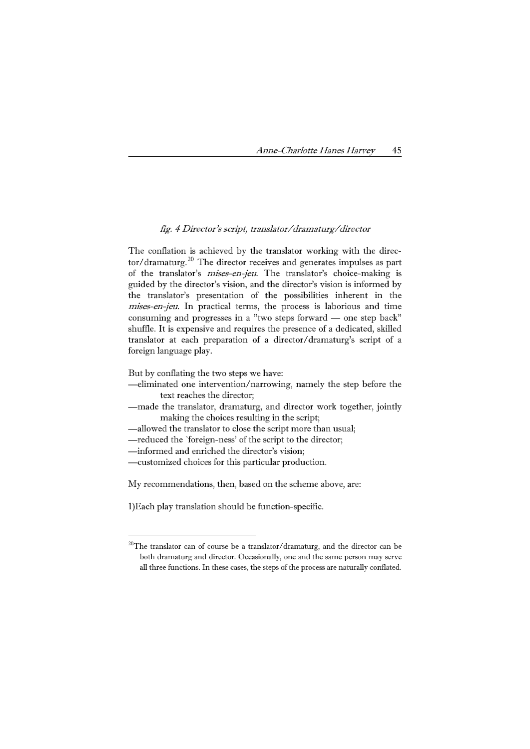# fig. 4 Director's script, translator/dramaturg/director

The conflation is achieved by the translator working with the direc-tor/dramaturg.<sup>[20](#page-20-0)</sup> The director receives and generates impulses as part of the translator's mises-en-jeu. The translator's choice-making is guided by the director's vision, and the director's vision is informed by the translator's presentation of the possibilities inherent in the mises-en-jeu. In practical terms, the process is laborious and time consuming and progresses in a "two steps forward — one step back" shuffle. It is expensive and requires the presence of a dedicated, skilled translator at each preparation of a director/dramaturg's script of a foreign language play.

But by conflating the two steps we have:

- —eliminated one intervention/narrowing, namely the step before the text reaches the director;
- —made the translator, dramaturg, and director work together, jointly making the choices resulting in the script;
- —allowed the translator to close the script more than usual;
- —reduced the `foreign-ness' of the script to the director;

—informed and enriched the director's vision;

—customized choices for this particular production.

My recommendations, then, based on the scheme above, are:

1)Each play translation should be function-specific.

<span id="page-20-0"></span> $20$ The translator can of course be a translator/dramaturg, and the director can be both dramaturg and director. Occasionally, one and the same person may serve all three functions. In these cases, the steps of the process are naturally conflated.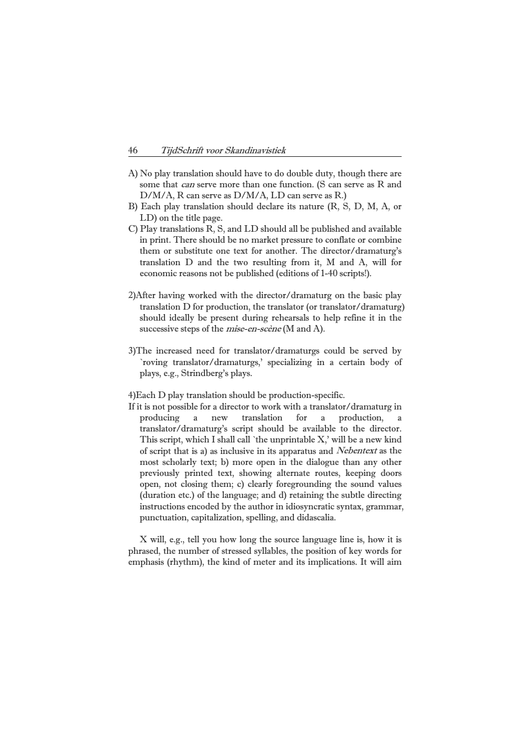- A) No play translation should have to do double duty, though there are some that *can* serve more than one function. (S can serve as R and D/M/A, R can serve as D/M/A, LD can serve as R.)
- B) Each play translation should declare its nature (R, S, D, M, A, or LD) on the title page.
- C) Play translations R, S, and LD should all be published and available in print. There should be no market pressure to conflate or combine them or substitute one text for another. The director/dramaturg's translation D and the two resulting from it, M and A, will for economic reasons not be published (editions of 1-40 scripts!).
- 2)After having worked with the director/dramaturg on the basic play translation D for production, the translator (or translator/dramaturg) should ideally be present during rehearsals to help refine it in the successive steps of the *mise-en-scène* (M and A).
- 3)The increased need for translator/dramaturgs could be served by `roving translator/dramaturgs,' specializing in a certain body of plays, e.g., Strindberg's plays.

4)Each D play translation should be production-specific.

If it is not possible for a director to work with a translator/dramaturg in producing a new translation for a production, translator/dramaturg's script should be available to the director. This script, which I shall call 'the unprintable  $X$ ,' will be a new kind of script that is a) as inclusive in its apparatus and Nebentext as the most scholarly text; b) more open in the dialogue than any other previously printed text, showing alternate routes, keeping doors open, not closing them; c) clearly foregrounding the sound values (duration etc.) of the language; and d) retaining the subtle directing instructions encoded by the author in idiosyncratic syntax, grammar, punctuation, capitalization, spelling, and didascalia.

 X will, e.g., tell you how long the source language line is, how it is phrased, the number of stressed syllables, the position of key words for emphasis (rhythm), the kind of meter and its implications. It will aim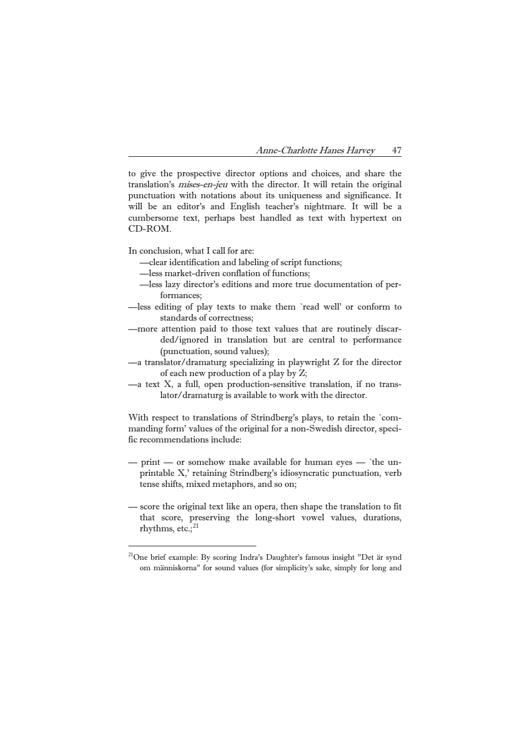to give the prospective director options and choices, and share the translation's mises-en-jeu with the director. It will retain the original punctuation with notations about its uniqueness and significance. It will be an editor's and English teacher's nightmare. It will be a cumbersome text, perhaps best handled as text with hypertext on CD-ROM.

In conclusion, what I call for are:

1

- —clear identification and labeling of script functions;
- —less market-driven conflation of functions;
- —less lazy director's editions and more true documentation of performances;
- —less editing of play texts to make them `read well' or conform to standards of correctness;
- —more attention paid to those text values that are routinely discarded/ignored in translation but are central to performance (punctuation, sound values);
- —a translator/dramaturg specializing in playwright Z for the director of each new production of a play by Z;
- —a text X, a full, open production-sensitive translation, if no translator/dramaturg is available to work with the director.

With respect to translations of Strindberg's plays, to retain the `commanding form' values of the original for a non-Swedish director, specific recommendations include:

- print or somehow make available for human eyes `the unprintable X,' retaining Strindberg's idiosyncratic punctuation, verb tense shifts, mixed metaphors, and so on;
- score the original text like an opera, then shape the translation to fit that score, preserving the long-short vowel values, durations, rhythms,  $etc.;<sup>21</sup>$  $etc.;<sup>21</sup>$  $etc.;<sup>21</sup>$

<span id="page-22-0"></span> $^{21}$ One brief example: By scoring Indra's Daughter's famous insight "Det är synd om människorna" for sound values (for simplicity's sake, simply for long and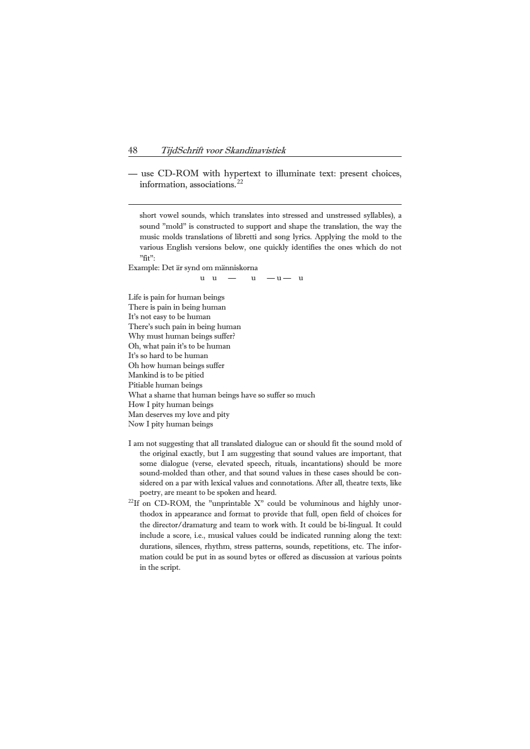— use CD-ROM with hypertext to illuminate text: present choices, information, associations.[22](#page-23-0)

short vowel sounds, which translates into stressed and unstressed syllables), a sound "mold" is constructed to support and shape the translation, the way the music molds translations of libretti and song lyrics. Applying the mold to the various English versions below, one quickly identifies the ones which do not "fit":

Example: Det är synd om människorna

1

 $u = u - u - u$ 

Life is pain for human beings There is pain in being human It's not easy to be human There's such pain in being human Why must human beings suffer? Oh, what pain it's to be human It's so hard to be human Oh how human beings suffer Mankind is to be pitied Pitiable human beings What a shame that human beings have so suffer so much How I pity human beings Man deserves my love and pity Now I pity human beings

- I am not suggesting that all translated dialogue can or should fit the sound mold of the original exactly, but I am suggesting that sound values are important, that some dialogue (verse, elevated speech, rituals, incantations) should be more sound-molded than other, and that sound values in these cases should be considered on a par with lexical values and connotations. After all, theatre texts, like
- <span id="page-23-0"></span>poetry, are meant to be spoken and heard. <sup>22</sup>If on CD-ROM, the "unprintable X" could be voluminous and highly unorthodox in appearance and format to provide that full, open field of choices for the director/dramaturg and team to work with. It could be bi-lingual. It could include a score, i.e., musical values could be indicated running along the text: durations, silences, rhythm, stress patterns, sounds, repetitions, etc. The information could be put in as sound bytes or offered as discussion at various points in the script.